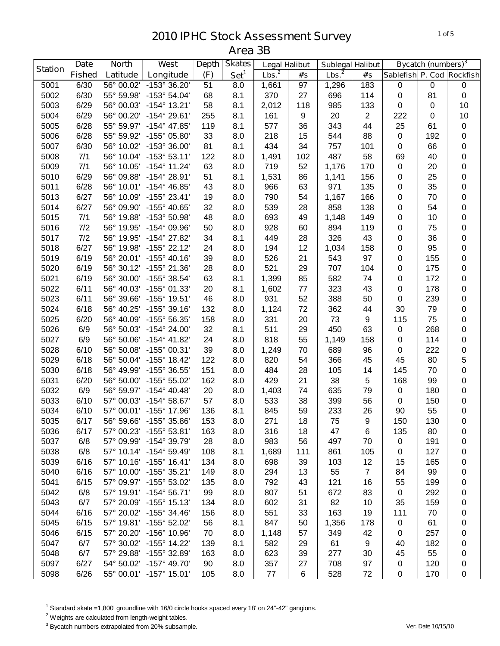|                | <b>Date</b>   | <b>North</b> | West                    | <b>Depth</b> | <b>Skates</b>    | <b>Legal Halibut</b> |     | <b>Sublegal Halibut</b> |                  |                           | Bycatch (numbers) <sup>3</sup> |             |
|----------------|---------------|--------------|-------------------------|--------------|------------------|----------------------|-----|-------------------------|------------------|---------------------------|--------------------------------|-------------|
| <b>Station</b> | <b>Fished</b> | Latitude     | Longitude               | (F)          | Set <sup>1</sup> | Lbs. <sup>2</sup>    | #'s | Lbs. <sup>2</sup>       | #'s              | Sablefish P. Cod Rockfish |                                |             |
| 5001           | 6/30          | 56° 00.02'   | -153° 36.20'            | 51           | 8.0              | 1,661                | 97  | 1,296                   | 183              | 0                         | $\pmb{0}$                      | 0           |
| 5002           | 6/30          | 55° 59.98'   | $-153^{\circ} 54.04'$   | 68           | 8.1              | 370                  | 27  | 696                     | 114              | $\pmb{0}$                 | 81                             | $\pmb{0}$   |
| 5003           | 6/29          | 56° 00.03'   | $-154^{\circ}$ 13.21'   | 58           | 8.1              | 2,012                | 118 | 985                     | 133              | $\mathbf 0$               | $\pmb{0}$                      | 10          |
| 5004           | 6/29          | 56° 00.20'   | $-154^{\circ} 29.61'$   | 255          | 8.1              | 161                  | 9   | 20                      | $\sqrt{2}$       | 222                       | $\pmb{0}$                      | 10          |
| 5005           | 6/28          | 55° 59.97'   | $-154^{\circ}$ 47.85'   | 119          | 8.1              | 577                  | 36  | 343                     | 44               | 25                        | 61                             | 0           |
| 5006           | 6/28          | 55° 59.92'   | -155° 05.80'            | 33           | 8.0              | 218                  | 15  | 544                     | 88               | $\pmb{0}$                 | 192                            | 0           |
| 5007           | 6/30          | 56° 10.02'   | $-153^{\circ}$ 36.00'   | 81           | 8.1              | 434                  | 34  | 757                     | 101              | $\mathbf 0$               | 66                             | 0           |
| 5008           | 7/1           | 56° 10.04'   | $-153^{\circ}53.11'$    | 122          | 8.0              | 1,491                | 102 | 487                     | 58               | 69                        | 40                             | 0           |
| 5009           | 7/1           | 56° 10.05'   | $-154^{\circ}$ 11.24'   | 63           | 8.0              | 719                  | 52  | 1,176                   | 170              | $\mathbf 0$               | 20                             | $\pmb{0}$   |
| 5010           | 6/29          | 56° 09.88'   | -154° 28.91'            | 51           | 8.1              | 1,531                | 86  | 1,141                   | 156              | 0                         | 25                             | 0           |
| 5011           | 6/28          | 56° 10.01'   | $-154^{\circ}$ 46.85'   | 43           | 8.0              | 966                  | 63  | 971                     | 135              | 0                         | 35                             | 0           |
| 5013           | 6/27          | 56° 10.09'   | $-155^{\circ}$ 23.41'   | 19           | 8.0              | 790                  | 54  | 1,167                   | 166              | 0                         | 70                             | 0           |
| 5014           | 6/27          | 56° 09.90'   | -155° 40.65'            | 32           | 8.0              | 539                  | 28  | 858                     | 138              | 0                         | 54                             | 0           |
| 5015           | 7/1           | 56° 19.88'   | -153° 50.98'            | 48           | 8.0              | 693                  | 49  | 1,148                   | 149              | 0                         | 10                             | 0           |
| 5016           | 7/2           | 56° 19.95'   | -154° 09.96'            | 50           | 8.0              | 928                  | 60  | 894                     | 119              | 0                         | 75                             | $\pmb{0}$   |
| 5017           | 7/2           | 56° 19.95'   | -154° 27.82'            | 34           | 8.1              | 449                  | 28  | 326                     | 43               | $\pmb{0}$                 | 36                             | $\pmb{0}$   |
| 5018           | 6/27          | 56° 19.98'   | $-155^{\circ}$ 22.12'   | 24           | 8.0              | 194                  | 12  | 1,034                   | 158              | $\pmb{0}$                 | 95                             | $\pmb{0}$   |
| 5019           | 6/19          | 56° 20.01'   | $-155^{\circ}$ 40.16'   | 39           | 8.0              | 526                  | 21  | 543                     | 97               | $\pmb{0}$                 | 155                            | 0           |
| 5020           | 6/19          | 56° 30.12'   | -155° 21.36'            | 28           | 8.0              | 521                  | 29  | 707                     | 104              | $\mathbf 0$               | 175                            | 0           |
| 5021           | 6/19          | 56° 30.00'   | -155° 38.54'            | 63           | 8.1              | 1,399                | 85  | 582                     | 74               | $\mathbf 0$               | 172                            | 0           |
| 5022           | 6/11          | 56° 40.03'   | -155° 01.33'            | 20           | 8.1              | 1,602                | 77  | 323                     | 43               | $\mathbf 0$               | 178                            | 0           |
| 5023           | 6/11          | 56° 39.66'   | $-155^{\circ}$ 19.51'   | 46           | 8.0              | 931                  | 52  | 388                     | 50               | $\mathbf 0$               | 239                            | 0           |
| 5024           | 6/18          | 56° 40.25'   | $-155^{\circ}$ 39.16'   | 132          | 8.0              | 1,124                | 72  | 362                     | 44               | 30                        | 79                             | 0           |
| 5025           | 6/20          | 56° 40.09'   | -155° 56.35'            | 158          | 8.0              | 331                  | 20  | 73                      | $\boldsymbol{9}$ | 115                       | 75                             | 0           |
| 5026           | 6/9           | 56° 50.03'   | $-154^{\circ}$ 24.00'   | 32           | 8.1              | 511                  | 29  | 450                     | 63               | $\pmb{0}$                 | 268                            | 0           |
| 5027           | 6/9           | 56° 50.06'   | $-154^{\circ}$ 41.82'   | 24           | 8.0              | 818                  | 55  | 1,149                   | 158              | $\pmb{0}$                 | 114                            | 0           |
| 5028           | 6/10          | 56° 50.08'   | $-155^{\circ}$ 00.31'   | 39           | 8.0              | 1,249                | 70  | 689                     | 96               | 0                         | 222                            | 0           |
| 5029           | 6/18          | 56° 50.04'   | $-155^{\circ}$ 18.42'   | 122          | 8.0              | 820                  | 54  | 366                     | 45               | 45                        | 80                             | 5           |
| 5030           | 6/18          | 56° 49.99'   | -155° 36.55'            | 151          | 8.0              | 484                  | 28  | 105                     | 14               | 145                       | 70                             | 0           |
| 5031           | 6/20          | 56° 50.00'   | $-155^{\circ} 55.02'$   | 162          | 8.0              | 429                  | 21  | 38                      | 5                | 168                       | 99                             | 0           |
| 5032           | 6/9           | 56° 59.97'   | $-154^{\circ}$ 40.48'   | 20           | 8.0              | 1,403                | 74  | 635                     | 79               | $\pmb{0}$                 | 180                            | 0           |
| 5033           | 6/10          | 57° 00.03'   | $-154^{\circ}58.67'$    | 57           | 8.0              | 533                  | 38  | 399                     | 56               | $\mathbf 0$               | 150                            | $\pmb{0}$   |
| 5034           | 6/10          | 57° 00.01'   | -155° 17.96'            | 136          | 8.1              | 845                  | 59  | 233                     | 26               | 90                        | 55                             | 0           |
| 5035           | 6/17          |              | 56° 59.66' -155° 35.86' | 153          | 8.0              | 271                  | 18  | 75                      | 9                | 150                       | 130                            | $\mathbf 0$ |
| 5036           | 6/17          | 57° 00.23'   | $-155^{\circ}$ 53.81'   | 163          | 8.0              | 316                  | 18  | 47                      | 6                | 135                       | 80                             | $\mathbf 0$ |
| 5037           | 6/8           | 57° 09.99'   | $-154^{\circ}$ 39.79'   | 28           | 8.0              | 983                  | 56  | 497                     | 70               | 0                         | 191                            | 0           |
| 5038           | 6/8           |              | 57° 10.14' -154° 59.49' | 108          | 8.1              | 1,689                | 111 | 861                     | 105              | 0                         | 127                            | 0           |
| 5039           | 6/16          |              | 57° 10.16' -155° 16.41' | 134          | 8.0              | 698                  | 39  | 103                     | 12               | 15                        | 165                            | 0           |
| 5040           | 6/16          | 57° 10.00'   | $-155^{\circ}$ 35.21'   | 149          | 8.0              | 294                  | 13  | 55                      | $\overline{7}$   | 84                        | 99                             | 0           |
| 5041           | 6/15          |              | 57° 09.97' -155° 53.02' | 135          | 8.0              | 792                  | 43  | 121                     | 16               | 55                        | 199                            | 0           |
| 5042           | 6/8           |              | 57° 19.91' -154° 56.71' | 99           | 8.0              | 807                  | 51  | 672                     | 83               | $\pmb{0}$                 | 292                            | 0           |
| 5043           | 6/7           |              | 57° 20.09' -155° 15.13' | 134          | 8.0              | 602                  | 31  | 82                      | 10               | 35                        | 159                            | 0           |
| 5044           | 6/16          | 57° 20.02'   | $-155^{\circ}$ 34.46'   | 156          | 8.0              | 551                  | 33  | 163                     | 19               | 111                       | 70                             | 0           |
| 5045           | 6/15          |              | 57° 19.81' -155° 52.02' | 56           | 8.1              | 847                  | 50  | 1,356                   | 178              | $\pmb{0}$                 | 61                             | 0           |
| 5046           | 6/15          | 57° 20.20'   | $-156^{\circ}$ 10.96'   | 70           | 8.0              | 1,148                | 57  | 349                     | 42               | 0                         | 257                            | 0           |
| 5047           | 6/7           | 57° 30.02'   | $-155^{\circ}$ 14.22'   | 139          | 8.1              | 582                  | 29  | 61                      | 9                | 40                        | 182                            | 0           |
| 5048           | 6/7           | 57° 29.88'   | -155° 32.89'            | 163          | 8.0              | 623                  | 39  | 277                     | 30               | 45                        | 55                             | 0           |
| 5097           | 6/27          |              | 54° 50.02' -157° 49.70' | 90           | 8.0              | 357                  | 27  | 708                     | 97               | $\mathbf 0$               | 120                            | 0           |
| 5098           | 6/26          |              | 55° 00.01' -157° 15.01' | 105          | 8.0              | 77                   | 6   | 528                     | 72               | $\mathbf 0$               | 170                            | 0           |

Standard skate =1,800' groundline with 16/0 circle hooks spaced every 18' on 24"-42" gangions.

<sup>2</sup> Weights are calculated from length-weight tables.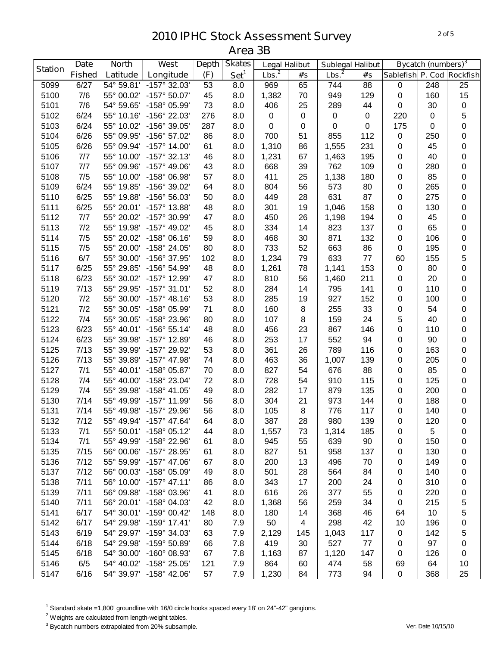|                | <b>Date</b>   | <b>North</b> | West                    | <b>Depth</b> | <b>Skates</b>    | <b>Legal Halibut</b> |                | <b>Sublegal Halibut</b> |           |                           | <b>Bycatch (numbers)</b> <sup>3</sup> |             |
|----------------|---------------|--------------|-------------------------|--------------|------------------|----------------------|----------------|-------------------------|-----------|---------------------------|---------------------------------------|-------------|
| <b>Station</b> | <b>Fished</b> | Latitude     | Longitude               | (F)          | Set <sup>1</sup> | Lbs. <sup>2</sup>    | #'s            | Lbs. <sup>2</sup>       | #'s       | Sablefish P. Cod Rockfish |                                       |             |
| 5099           | 6/27          | 54° 59.81'   | $-157^{\circ}$ 32.03'   | 53           | 8.0              | 969                  | 65             | 744                     | 88        | $\,0\,$                   | 248                                   | 25          |
| 5100           | 7/6           | 55° 00.02'   | $-157^{\circ} 50.07'$   | 45           | 8.0              | 1,382                | 70             | 949                     | 129       | $\mathbf 0$               | 160                                   | 15          |
| 5101           | 7/6           | 54° 59.65'   | -158° 05.99'            | 73           | 8.0              | 406                  | 25             | 289                     | 44        | $\pmb{0}$                 | 30                                    | $\mathsf 0$ |
| 5102           | 6/24          | 55° 10.16'   | -156° 22.03'            | 276          | 8.0              | $\pmb{0}$            | 0              | 0                       | $\pmb{0}$ | 220                       | $\mathbf 0$                           | 5           |
| 5103           | 6/24          | 55° 10.02'   | -156° 39.05'            | 287          | 8.0              | 0                    | 0              | $\pmb{0}$               | 0         | 175                       | $\mathbf 0$                           | $\mathbf 0$ |
| 5104           | 6/26          | 55° 09.95'   | $-156^{\circ}$ 57.02'   | 86           | 8.0              | 700                  | 51             | 855                     | 112       | $\pmb{0}$                 | 250                                   | $\pmb{0}$   |
| 5105           | 6/26          | 55° 09.94'   | $-157^{\circ}$ 14.00'   | 61           | 8.0              | 1,310                | 86             | 1,555                   | 231       | $\boldsymbol{0}$          | 45                                    | $\pmb{0}$   |
| 5106           | 7/7           | 55° 10.00'   | $-157^{\circ}$ 32.13'   | 46           | 8.0              | 1,231                | 67             | 1,463                   | 195       | $\mathbf 0$               | 40                                    | $\mathbf 0$ |
| 5107           | 7/7           | 55° 09.96'   | $-157^{\circ}$ 49.06'   | 43           | 8.0              | 668                  | 39             | 762                     | 109       | $\pmb{0}$                 | 280                                   | $\pmb{0}$   |
| 5108           | 7/5           | 55° 10.00'   | -158° 06.98'            | 57           | 8.0              | 411                  | 25             | 1,138                   | 180       | $\pmb{0}$                 | 85                                    | $\pmb{0}$   |
| 5109           | 6/24          | 55° 19.85'   | -156° 39.02'            | 64           | 8.0              | 804                  | 56             | 573                     | 80        | $\pmb{0}$                 | 265                                   | $\pmb{0}$   |
| 5110           | 6/25          | 55° 19.88'   | -156° 56.03'            | 50           | 8.0              | 449                  | 28             | 631                     | 87        | $\boldsymbol{0}$          | 275                                   | $\pmb{0}$   |
| 5111           | 6/25          | 55° 20.01'   | $-157^{\circ}$ 13.88'   | 48           | 8.0              | 301                  | 19             | 1,046                   | 158       | $\pmb{0}$                 | 130                                   | $\pmb{0}$   |
| 5112           | 7/7           | 55° 20.02'   | -157° 30.99'            | 47           | 8.0              | 450                  | 26             | 1,198                   | 194       | $\pmb{0}$                 | 45                                    | $\pmb{0}$   |
| 5113           | 7/2           | 55° 19.98'   | -157° 49.02'            | 45           | 8.0              | 334                  | 14             | 823                     | 137       | $\pmb{0}$                 | 65                                    | $\mathsf 0$ |
| 5114           | 7/5           | 55° 20.02'   | $-158^{\circ}$ 06.16'   | 59           | 8.0              | 468                  | 30             | 871                     | 132       | $\pmb{0}$                 | 106                                   | $\mathsf 0$ |
| 5115           | 7/5           | 55° 20.00'   | -158° 24.05'            | 80           | 8.0              | 733                  | 52             | 663                     | 86        | $\pmb{0}$                 | 195                                   | $\mathsf 0$ |
| 5116           | 6/7           | 55° 30.00'   | -156° 37.95'            | 102          | 8.0              | 1,234                | 79             | 633                     | 77        | 60                        | 155                                   | 5           |
| 5117           | 6/25          | 55° 29.85'   | -156° 54.99'            | 48           | 8.0              | 1,261                | 78             | 1,141                   | 153       | $\pmb{0}$                 | 80                                    | $\mathbf 0$ |
| 5118           | 6/23          | 55° 30.02'   | -157° 12.99'            | 47           | 8.0              | 810                  | 56             | 1,460                   | 211       | $\boldsymbol{0}$          | 20                                    | $\pmb{0}$   |
| 5119           | 7/13          | 55° 29.95'   | $-157^{\circ}$ 31.01'   | 52           | 8.0              | 284                  | 14             | 795                     | 141       | 0                         | 110                                   | $\mathbf 0$ |
| 5120           | 7/2           | 55° 30.00'   | $-157^{\circ}$ 48.16'   | 53           | 8.0              | 285                  | 19             | 927                     | 152       | 0                         | 100                                   | $\mathbf 0$ |
| 5121           | 7/2           | 55° 30.05'   | -158° 05.99'            | 71           | 8.0              | 160                  | 8              | 255                     | 33        | 0                         | 54                                    | 0           |
| 5122           | 7/4           | 55° 30.05'   | -158° 23.96'            | 80           | 8.0              | 107                  | 8              | 159                     | 24        | 5                         | 40                                    | 0           |
| 5123           | 6/23          | 55° 40.01'   | $-156^{\circ} 55.14'$   | 48           | 8.0              | 456                  | 23             | 867                     | 146       | 0                         | 110                                   | 0           |
| 5124           | 6/23          | 55° 39.98'   | $-157^{\circ}$ 12.89'   | 46           | 8.0              | 253                  | 17             | 552                     | 94        | 0                         | 90                                    | $\pmb{0}$   |
| 5125           | 7/13          | 55° 39.99'   | -157° 29.92'            | 53           | 8.0              | 361                  | 26             | 789                     | 116       | $\mathbf 0$               | 163                                   | $\mathbf 0$ |
| 5126           | 7/13          | 55° 39.89'   | $-157^{\circ}$ 47.98'   | 74           | 8.0              | 463                  | 36             | 1,007                   | 139       | $\mathbf 0$               | 205                                   | $\pmb{0}$   |
| 5127           | 7/1           | 55° 40.01'   | -158° 05.87'            | 70           | 8.0              | 827                  | 54             | 676                     | 88        | $\mathbf 0$               | 85                                    | $\pmb{0}$   |
| 5128           | 7/4           | 55° 40.00'   | -158° 23.04'            | 72           | 8.0              | 728                  | 54             | 910                     | 115       | $\mathbf 0$               | 125                                   | $\pmb{0}$   |
| 5129           | 7/4           | 55° 39.98'   | $-158^{\circ}$ 41.05'   | 49           | 8.0              | 282                  | 17             | 879                     | 135       | $\mathbf 0$               | 200                                   | $\pmb{0}$   |
| 5130           | 7/14          | 55° 49.99'   | $-157^{\circ}$ 11.99'   | 56           | 8.0              | 304                  | 21             | 973                     | 144       | $\,0\,$                   | 188                                   | $\pmb{0}$   |
| 5131           | 7/14          | 55° 49.98'   | -157° 29.96'            | 56           | 8.0              | 105                  | 8              | 776                     | 117       | $\mathbf 0$               | 140                                   | $\mathbf 0$ |
| 5132           | 7/12          |              | 55° 49.94' -157° 47.64' | 64           | 8.0              | 387                  | 28             | 980                     | 139       | $\Omega$                  | 120                                   | $\Omega$    |
| 5133           | 7/1           |              | 55° 50.01' -158° 05.12' | 44           | 8.0              | 1,557                | 73             | 1,314                   | 185       | 0                         | 5                                     | 0           |
| 5134           | 7/1           | 55° 49.99'   | -158° 22.96'            | 61           | 8.0              | 945                  | 55             | 639                     | 90        | 0                         | 150                                   | 0           |
| 5135           | 7/15          |              | 56° 00.06' -157° 28.95' | 61           | 8.0              | 827                  | 51             | 958                     | 137       | 0                         | 130                                   | 0           |
| 5136           | 7/12          |              | 55° 59.99' -157° 47.06' | 67           | 8.0              | 200                  | 13             | 496                     | 70        | 0                         | 149                                   | 0           |
| 5137           | 7/12          |              | 56° 00.03' -158° 05.09' | 49           | 8.0              | 501                  | 28             | 564                     | 84        | 0                         | 140                                   | 0           |
| 5138           | 7/11          |              | 56° 10.00' -157° 47.11' | 86           | 8.0              | 343                  | 17             | 200                     | 24        | 0                         | 310                                   | 0           |
| 5139           | 7/11          | 56° 09.88'   | $-158^{\circ}$ 03.96'   | 41           | 8.0              | 616                  | 26             | 377                     | 55        | $\pmb{0}$                 | 220                                   | 0           |
| 5140           | 7/11          |              | 56° 20.01' -158° 04.03' | 42           | 8.0              | 1,368                | 56             | 259                     | 34        | 0                         | 215                                   | 5           |
| 5141           | 6/17          |              | 54° 30.01' -159° 00.42' | 148          | 8.0              | 180                  | 14             | 368                     | 46        | 64                        | 10                                    | 5           |
| 5142           | 6/17          | 54° 29.98'   | $-159^{\circ}$ 17.41'   | 80           | 7.9              | 50                   | $\overline{4}$ | 298                     | 42        | 10                        | 196                                   | 0           |
| 5143           | 6/19          | 54° 29.97'   | -159° 34.03'            | 63           | 7.9              | 2,129                | 145            | 1,043                   | 117       | 0                         | 142                                   | 5           |
| 5144           | 6/18          | 54° 29.98'   | $-159^{\circ}$ 50.89'   | 66           | 7.8              | 419                  | 30             | 527                     | 77        | 0                         | 97                                    | 0           |
| 5145           | 6/18          | 54° 30.00'   | -160° 08.93'            | 67           | 7.8              | 1,163                | 87             | 1,120                   | 147       | $\pmb{0}$                 | 126                                   | 0           |
| 5146           | 6/5           | 54° 40.02'   | $-158^{\circ}$ 25.05'   | 121          | 7.9              | 864                  | 60             | 474                     | 58        | 69                        | 64                                    | 10          |
| 5147           | 6/16          |              | 54° 39.97' -158° 42.06' | 57           | 7.9              | 1,230                | 84             | 773                     | 94        | $\mathbf 0$               | 368                                   | 25          |

Standard skate =1,800' groundline with 16/0 circle hooks spaced every 18' on 24"-42" gangions.

Weights are calculated from length-weight tables.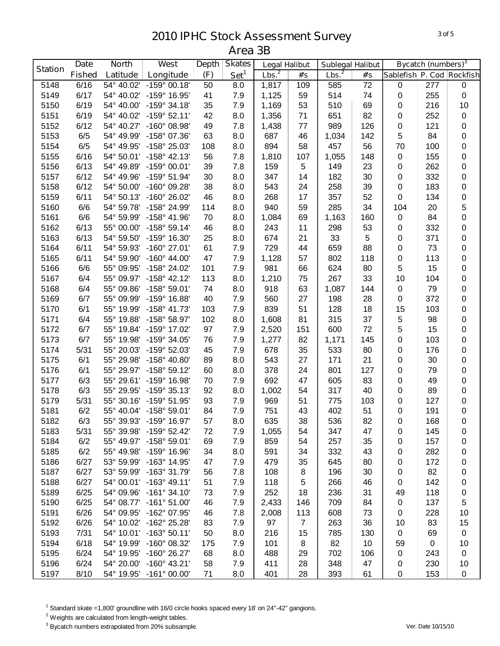|                | <b>Date</b>   | <b>North</b> | West                    | <b>Depth</b> | <b>Skates</b>    | <b>Legal Halibut</b> |                | <b>Sublegal Halibut</b> |                 |                           | Bycatch (numbers) <sup>3</sup> |             |
|----------------|---------------|--------------|-------------------------|--------------|------------------|----------------------|----------------|-------------------------|-----------------|---------------------------|--------------------------------|-------------|
| <b>Station</b> | <b>Fished</b> | Latitude     | Longitude               | (F)          | Set <sup>1</sup> | Lbs. <sup>2</sup>    | #'s            | Lbs. <sup>2</sup>       | #'s             | Sablefish P. Cod Rockfish |                                |             |
| 5148           | 6/16          | 54° 40.02'   | $-159^{\circ}$ 00.18'   | 50           | 8.0              | 1,817                | 109            | 585                     | $\overline{72}$ | $\,0\,$                   | 277                            | $\pmb{0}$   |
| 5149           | 6/17          | 54° 40.02'   | -159° 16.95'            | 41           | 7.9              | 1,125                | 59             | 514                     | 74              | $\mathbf 0$               | 255                            | $\pmb{0}$   |
| 5150           | 6/19          | 54° 40.00'   | $-159°34.18'$           | 35           | 7.9              | 1,169                | 53             | 510                     | 69              | $\,0\,$                   | 216                            | 10          |
| 5151           | 6/19          | 54° 40.02'   | $-159°52.11'$           | 42           | 8.0              | 1,356                | 71             | 651                     | 82              | $\,0\,$                   | 252                            | $\pmb{0}$   |
| 5152           | 6/12          | 54° 40.27'   | $-160^{\circ}$ 08.98'   | 49           | 7.8              | 1,438                | 77             | 989                     | 126             | $\mathbf 0$               | 121                            | $\pmb{0}$   |
| 5153           | 6/5           | 54° 49.99'   | $-158^{\circ}$ 07.36'   | 63           | 8.0              | 687                  | 46             | 1,034                   | 142             | 5                         | 84                             | $\pmb{0}$   |
| 5154           | 6/5           | 54° 49.95'   | -158° 25.03'            | 108          | 8.0              | 894                  | 58             | 457                     | 56              | 70                        | 100                            | $\pmb{0}$   |
| 5155           | 6/16          | 54° 50.01'   | $-158^{\circ}$ 42.13'   | 56           | 7.8              | 1,810                | 107            | 1,055                   | 148             | $\pmb{0}$                 | 155                            | $\pmb{0}$   |
| 5156           | 6/13          | 54° 49.89'   | $-159^{\circ}$ 00.01'   | 39           | 7.8              | 159                  | 5              | 149                     | 23              | $\boldsymbol{0}$          | 262                            | $\pmb{0}$   |
| 5157           | 6/12          | 54° 49.96'   | -159° 51.94'            | 30           | 8.0              | 347                  | 14             | 182                     | 30              | $\pmb{0}$                 | 332                            | $\pmb{0}$   |
| 5158           | 6/12          | 54° 50.00'   | -160° 09.28'            | 38           | 8.0              | 543                  | 24             | 258                     | 39              | $\pmb{0}$                 | 183                            | $\pmb{0}$   |
| 5159           | 6/11          | 54° 50.13'   | -160° 26.02'            | 46           | 8.0              | 268                  | 17             | 357                     | 52              | $\pmb{0}$                 | 134                            | $\pmb{0}$   |
| 5160           | 6/6           | 54° 59.78'   | -158° 24.99'            | 114          | 8.0              | 940                  | 59             | 285                     | 34              | 104                       | 20                             | 5           |
| 5161           | 6/6           | 54° 59.99'   | -158° 41.96'            | 70           | 8.0              | 1,084                | 69             | 1,163                   | 160             | $\pmb{0}$                 | 84                             | $\mathbf 0$ |
| 5162           | 6/13          | 55° 00.00'   | $-158^{\circ}59.14'$    | 46           | 8.0              | 243                  | 11             | 298                     | 53              | $\mathbf 0$               | 332                            | $\pmb{0}$   |
| 5163           | 6/13          | 54° 59.50'   | -159° 16.30'            | 25           | 8.0              | 674                  | 21             | 33                      | 5               | $\pmb{0}$                 | 371                            | $\pmb{0}$   |
| 5164           | 6/11          | 54° 59.93'   | $-160^{\circ}$ 27.01'   | 61           | 7.9              | 729                  | 44             | 659                     | 88              | $\pmb{0}$                 | 73                             | $\pmb{0}$   |
| 5165           | 6/11          | 54° 59.90'   | $-160^{\circ}$ 44.00'   | 47           | 7.9              | 1,128                | 57             | 802                     | 118             | 0                         | 113                            | $\pmb{0}$   |
| 5166           | 6/6           | 55° 09.95'   | -158° 24.02'            | 101          | 7.9              | 981                  | 66             | 624                     | 80              | 5                         | 15                             | 0           |
| 5167           | 6/4           | 55° 09.97'   | $-158^{\circ}$ 42.12'   | 113          | 8.0              | 1,210                | 75             | 267                     | 33              | 10                        | 104                            | $\pmb{0}$   |
| 5168           | 6/4           | 55° 09.86'   | $-158^{\circ} 59.01'$   | 74           | 8.0              | 918                  | 63             | 1,087                   | 144             | $\boldsymbol{0}$          | 79                             | $\pmb{0}$   |
| 5169           | 6/7           | 55° 09.99'   | -159° 16.88'            | 40           | 7.9              | 560                  | 27             | 198                     | 28              | 0                         | 372                            | 0           |
| 5170           | 6/1           | 55° 19.99'   | $-158^{\circ}$ 41.73'   | 103          | 7.9              | 839                  | 51             | 128                     | 18              | 15                        | 103                            | 0           |
| 5171           | 6/4           | 55° 19.88'   | -158° 58.97'            | 102          | 8.0              | 1,608                | 81             | 315                     | 37              | 5                         | 98                             | 0           |
| 5172           | 6/7           | 55° 19.84'   | -159° 17.02'            | 97           | 7.9              | 2,520                | 151            | 600                     | 72              | 5                         | 15                             | $\pmb{0}$   |
| 5173           | 6/7           | 55° 19.98'   | -159° 34.05'            | 76           | 7.9              | 1,277                | 82             | 1,171                   | 145             | $\mathbf 0$               | 103                            | $\pmb{0}$   |
| 5174           | 5/31          | 55° 20.03'   | -159° 52.03'            | 45           | 7.9              | 678                  | 35             | 533                     | 80              | $\pmb{0}$                 | 176                            | $\pmb{0}$   |
| 5175           | 6/1           | 55° 29.98'   | $-158^{\circ}$ 40.80'   | 89           | 8.0              | 543                  | 27             | 171                     | 21              | $\pmb{0}$                 | 30                             | $\pmb{0}$   |
| 5176           | 6/1           | 55° 29.97'   | $-158^{\circ}59.12'$    | 60           | 8.0              | 378                  | 24             | 801                     | 127             | $\boldsymbol{0}$          | 79                             | $\pmb{0}$   |
| 5177           | 6/3           | 55° 29.61'   | $-159^{\circ}$ 16.98'   | 70           | 7.9              | 692                  | 47             | 605                     | 83              | $\boldsymbol{0}$          | 49                             | $\pmb{0}$   |
| 5178           | 6/3           | 55° 29.95'   | $-159°35.13'$           | 92           | 8.0              | 1,002                | 54             | 317                     | 40              | $\boldsymbol{0}$          | 89                             | $\pmb{0}$   |
| 5179           | 5/31          | 55° 30.16'   | $-159^{\circ}$ 51.95'   | 93           | 7.9              | 969                  | 51             | 775                     | 103             | 0                         | 127                            | $\pmb{0}$   |
| 5181           | 6/2           |              | 55° 40.04' -158° 59.01' | 84           | 7.9              | 751                  | 43             | 402                     | 51              | 0                         | 191                            | 0           |
| 5182           | 6/3           |              | 55° 39.93' -159° 16.97' | 57           | 8.0              | 635                  | 38             | 536                     | 82              | $\pmb{0}$                 | 168                            | $\mathbf 0$ |
| 5183           | 5/31          | 55° 39.98'   | $-159^{\circ}$ 52.42'   | 72           | 7.9              | 1,055                | 54             | 347                     | 47              | 0                         | 145                            | 0           |
| 5184           | 6/2           |              | 55° 49.97' -158° 59.01' | 69           | 7.9              | 859                  | 54             | 257                     | 35              | 0                         | 157                            | 0           |
| 5185           | 6/2           | 55° 49.98'   | -159° 16.96'            | 34           | 8.0              | 591                  | 34             | 332                     | 43              | 0                         | 282                            | 0           |
| 5186           | 6/27          |              | 53° 59.99' -163° 14.95' | 47           | 7.9              | 479                  | 35             | 645                     | 80              | 0                         | 172                            | 0           |
| 5187           | 6/27          | 53° 59.99'   | $-163^{\circ}$ 31.79'   | 56           | 7.8              | 108                  | 8              | 196                     | 30              | 0                         | 82                             | 0           |
| 5188           | 6/27          |              | 54° 00.01' -163° 49.11' | 51           | 7.9              | 118                  | 5              | 266                     | 46              | 0                         | 142                            | 0           |
| 5189           | 6/25          | 54° 09.96'   | $-161°34.10'$           | 73           | 7.9              | 252                  | 18             | 236                     | 31              | 49                        | 118                            | 0           |
| 5190           | 6/25          | 54° 08.77'   | $-161^{\circ} 51.00'$   | 46           | 7.9              | 2,433                | 146            | 709                     | 84              | 0                         | 137                            | 5           |
| 5191           | 6/26          | 54° 09.95'   | $-162^{\circ}$ 07.95'   | 46           | 7.8              | 2,008                | 113            | 608                     | 73              | 0                         | 228                            | 10          |
| 5192           | 6/26          |              | 54° 10.02' -162° 25.28' | 83           | 7.9              | 97                   | $\overline{7}$ | 263                     | 36              | 10                        | 83                             | 15          |
| 5193           | 7/31          |              | 54° 10.01' -163° 50.11' | 50           | 8.0              | 216                  | 15             | 785                     | 130             | 0                         | 69                             | 0           |
| 5194           | 6/18          | 54° 19.99'   | $-160^{\circ}$ 08.32'   | 175          | 7.9              | 101                  | 8              | 82                      | 10              | 59                        | $\mathbf 0$                    | 10          |
| 5195           | 6/24          | 54° 19.95'   | $-160^{\circ}$ 26.27'   | 68           | 8.0              | 488                  | 29             | 702                     | 106             | 0                         | 243                            | 0           |
| 5196           | 6/24          | 54° 20.00'   | $-160^{\circ}$ 43.21'   | 58           | 7.9              | 411                  | 28             | 348                     | 47              | 0                         | 230                            | 10          |
| 5197           | 8/10          | 54° 19.95'   | $-161^{\circ}$ 00.00'   | 71           | 8.0              | 401                  | 28             | 393                     | 61              | $\pmb{0}$                 | 153                            | 0           |

Standard skate =1,800' groundline with 16/0 circle hooks spaced every 18' on 24"-42" gangions.

Weights are calculated from length-weight tables.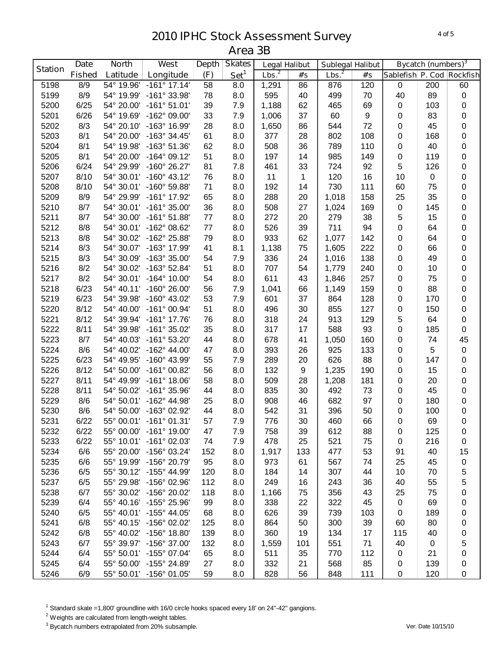|                | <b>Date</b>   | <b>North</b> | West                    | <b>Depth</b> | <b>Skates</b>    | <b>Legal Halibut</b> |              | <b>Sublegal Halibut</b> |     |                           | <b>Bycatch (numbers)</b> <sup>3</sup> |                  |
|----------------|---------------|--------------|-------------------------|--------------|------------------|----------------------|--------------|-------------------------|-----|---------------------------|---------------------------------------|------------------|
| <b>Station</b> | <b>Fished</b> | Latitude     | Longitude               | (F)          | Set <sup>1</sup> | Lbs. <sup>2</sup>    | #'s          | Lbs. <sup>2</sup>       | #'s | Sablefish P. Cod Rockfish |                                       |                  |
| 5198           | 8/9           | 54° 19.96'   | $-161°$ 17.14'          | 58           | 8.0              | 1,291                | 86           | 876                     | 120 | $\mathbf 0$               | 200                                   | 60               |
| 5199           | 8/9           | 54° 19.99'   | -161° 33.98'            | 78           | 8.0              | 595                  | 40           | 499                     | 70  | 40                        | 89                                    | $\pmb{0}$        |
| 5200           | 6/25          | 54° 20.00'   | $-161°51.01'$           | 39           | 7.9              | 1,188                | 62           | 465                     | 69  | $\pmb{0}$                 | 103                                   | $\pmb{0}$        |
| 5201           | 6/26          | 54° 19.69'   | -162° 09.00'            | 33           | 7.9              | 1,006                | 37           | 60                      | 9   | $\pmb{0}$                 | 83                                    | $\pmb{0}$        |
| 5202           | 8/3           | 54° 20.10'   | -163° 16.99'            | 28           | 8.0              | 1,650                | 86           | 544                     | 72  | $\pmb{0}$                 | 45                                    | $\pmb{0}$        |
| 5203           | 8/1           | 54° 20.00'   | $-163^{\circ}$ 34.45'   | 61           | 8.0              | 377                  | 28           | 802                     | 108 | 0                         | 168                                   | $\pmb{0}$        |
| 5204           | 8/1           | 54° 19.98'   | $-163°51.36'$           | 62           | 8.0              | 508                  | 36           | 789                     | 110 | 0                         | 40                                    | $\pmb{0}$        |
| 5205           | 8/1           | 54° 20.00'   | $-164^{\circ}$ 09.12'   | 51           | 8.0              | 197                  | 14           | 985                     | 149 | 0                         | 119                                   | $\pmb{0}$        |
| 5206           | 6/24          | 54° 29.99'   | $-160^{\circ}$ 26.27'   | 81           | 7.8              | 461                  | 33           | 724                     | 92  | 5                         | 126                                   | $\pmb{0}$        |
| 5207           | 8/10          | 54° 30.01'   | $-160^{\circ}$ 43.12'   | 76           | 8.0              | 11                   | $\mathbf{1}$ | 120                     | 16  | 10                        | $\pmb{0}$                             | $\boldsymbol{0}$ |
| 5208           | 8/10          | 54° 30.01'   | $-160^{\circ}$ 59.88'   | 71           | 8.0              | 192                  | 14           | 730                     | 111 | 60                        | 75                                    | $\boldsymbol{0}$ |
| 5209           | 8/9           | 54° 29.99'   | -161° 17.92'            | 65           | 8.0              | 288                  | 20           | 1,018                   | 158 | 25                        | 35                                    | $\pmb{0}$        |
| 5210           | 8/7           | 54° 30.01'   | $-161^{\circ}$ 35.00'   | 36           | 8.0              | 508                  | 27           | 1,024                   | 169 | $\pmb{0}$                 | 145                                   | $\pmb{0}$        |
| 5211           | 8/7           | 54° 30.00'   | $-161°51.88'$           | 77           | 8.0              | 272                  | 20           | 279                     | 38  | 5                         | 15                                    | $\pmb{0}$        |
| 5212           | 8/8           | 54° 30.01'   | -162° 08.62'            | 77           | 8.0              | 526                  | 39           | 711                     | 94  | 0                         | 64                                    | $\pmb{0}$        |
| 5213           | 8/8           | 54° 30.02'   | -162° 25.88'            | 79           | 8.0              | 933                  | 62           | 1,077                   | 142 | $\pmb{0}$                 | 64                                    | $\pmb{0}$        |
| 5214           | 8/3           | 54° 30.07'   | -163° 17.99'            | 41           | 8.1              | 1,138                | 75           | 1,605                   | 222 | 0                         | 66                                    | $\pmb{0}$        |
| 5215           | 8/3           | 54° 30.09'   | $-163^{\circ}35.00'$    | 54           | 7.9              | 336                  | 24           | 1,016                   | 138 | 0                         | 49                                    | $\pmb{0}$        |
| 5216           | 8/2           | 54° 30.02'   | $-163^{\circ}$ 52.84'   | 51           | 8.0              | 707                  | 54           | 1,779                   | 240 | 0                         | 10                                    | $\mathbf 0$      |
| 5217           | 8/2           | 54° 30.01'   | $-164^{\circ}$ 10.00'   | 54           | 8.0              | 611                  | 43           | 1,846                   | 257 | 0                         | 75                                    | $\pmb{0}$        |
| 5218           | 6/23          | 54° 40.11'   | $-160^{\circ}$ 26.00'   | 56           | 7.9              | 1,041                | 66           | 1,149                   | 159 | 0                         | 88                                    | $\pmb{0}$        |
| 5219           | 6/23          | 54° 39.98'   | $-160^{\circ}$ 43.02'   | 53           | 7.9              | 601                  | 37           | 864                     | 128 | 0                         | 170                                   | $\boldsymbol{0}$ |
| 5220           | 8/12          | 54° 40.00'   | $-161^{\circ}$ 00.94'   | 51           | 8.0              | 496                  | 30           | 855                     | 127 | 0                         | 150                                   | $\pmb{0}$        |
| 5221           | 8/12          | 54° 39.94'   | $-161^{\circ}$ 17.76'   | 76           | 8.0              | 318                  | 24           | 913                     | 129 | 5                         | 64                                    | $\pmb{0}$        |
| 5222           | 8/11          | 54° 39.98'   | $-161^{\circ}$ 35.02'   | 35           | 8.0              | 317                  | 17           | 588                     | 93  | 0                         | 185                                   | $\pmb{0}$        |
| 5223           | 8/7           | 54° 40.03'   | $-161^{\circ}$ 53.20'   | 44           | 8.0              | 678                  | 41           | 1,050                   | 160 | 0                         | 74                                    | 45               |
| 5224           | 8/6           | 54° 40.02'   | $-162^{\circ}$ 44.00'   | 47           | 8.0              | 393                  | 26           | 925                     | 133 | $\pmb{0}$                 | 5                                     | $\pmb{0}$        |
| 5225           | 6/23          | 54° 49.95'   | -160° 43.99'            | 55           | 7.9              | 289                  | 20           | 626                     | 88  | $\pmb{0}$                 | 147                                   | $\pmb{0}$        |
| 5226           | 8/12          | 54° 50.00'   | $-161^{\circ}$ 00.82'   | 56           | 8.0              | 132                  | 9            | 1,235                   | 190 | $\pmb{0}$                 | 15                                    | $\pmb{0}$        |
| 5227           | 8/11          | 54° 49.99'   | $-161^{\circ}$ 18.06'   | 58           | 8.0              | 509                  | 28           | 1,208                   | 181 | $\pmb{0}$                 | 20                                    | $\pmb{0}$        |
| 5228           | 8/11          | 54° 50.02'   | $-161^{\circ}$ 35.96'   | 44           | 8.0              | 835                  | 30           | 492                     | 73  | 0                         | 45                                    | $\pmb{0}$        |
| 5229           | 8/6           |              | 54° 50.01' -162° 44.98' | 25           | 8.0              | 908                  | 46           | 682                     | 97  | 0                         | 180                                   | $\pmb{0}$        |
| 5230           | 8/6           | 54° 50.00'   | -163° 02.92'            | 44           | 8.0              | 542                  | 31           | 396                     | 50  | 0                         | 100                                   | $\boldsymbol{0}$ |
| 5231           | 6/22          |              | 55° 00.01' -161° 01.31' | 57           | 7.9              | 776                  | 30           | 460                     | 66  | $\pmb{0}$                 | 69                                    | $\mathbf 0$      |
| 5232           | 6/22          | 55° 00.00'   | $-161^{\circ}$ 19.00'   | 47           | 7.9              | 758                  | 39           | 612                     | 88  | 0                         | 125                                   | 0                |
| 5233           | 6/22          |              | 55° 10.01' -161° 02.03' | 74           | 7.9              | 478                  | 25           | 521                     | 75  | $\pmb{0}$                 | 216                                   | 0                |
| 5234           | 6/6           | 55° 20.00'   | $-156^{\circ}$ 03.24'   | 152          | 8.0              | 1,917                | 133          | 477                     | 53  | 91                        | 40                                    | 15               |
| 5235           | 6/6           | 55° 19.99'   | -156° 20.79'            | 95           | 8.0              | 973                  | 61           | 567                     | 74  | 25                        | 45                                    | 0                |
| 5236           | 6/5           |              | 55° 30.12' -155° 44.99' | 120          | 8.0              | 184                  | 14           | 307                     | 44  | 10                        | 70                                    | 5                |
| 5237           | 6/5           | 55° 29.98'   | -156° 02.96'            | 112          | 8.0              | 249                  | 16           | 243                     | 36  | 40                        | 55                                    | 5                |
| 5238           | 6/7           | 55° 30.02'   | -156° 20.02'            | 118          | 8.0              | 1,166                | 75           | 356                     | 43  | 25                        | 75                                    | 0                |
| 5239           | 6/4           | 55° 40.16'   | -155° 25.96'            | 99           | 8.0              | 338                  | 22           | 322                     | 45  | 0                         | 69                                    | 0                |
| 5240           | 6/5           | 55° 40.01'   | $-155^{\circ}$ 44.05'   | 68           | 8.0              | 626                  | 39           | 739                     | 103 | $\pmb{0}$                 | 189                                   | 0                |
| 5241           | 6/8           | 55° 40.15'   | $-156^{\circ}$ 02.02'   | 125          | 8.0              | 864                  | 50           | 300                     | 39  | 60                        | 80                                    | 0                |
| 5242           | 6/8           |              | 55° 40.02' -156° 18.80' | 139          | 8.0              | 360                  | 19           | 134                     | 17  | 115                       | 40                                    | 0                |
| 5243           | 6/7           |              | 55° 39.97' -156° 37.00' | 132          | 8.0              | 1,559                | 101          | 551                     | 71  | 40                        | 0                                     | 5                |
| 5244           | 6/4           | 55° 50.01'   | $-155^{\circ}$ 07.04'   | 65           | 8.0              | 511                  | 35           | 770                     | 112 | $\pmb{0}$                 | 21                                    | 0                |
| 5245           | 6/4           | 55° 50.00'   | -155° 24.89'            | 27           | 8.0              | 332                  | 21           | 568                     | 85  | $\pmb{0}$                 | 139                                   | 0                |
| 5246           | 6/9           |              | 55° 50.01' -156° 01.05' | 59           | 8.0              | 828                  | 56           | 848                     | 111 | $\pmb{0}$                 | 120                                   | $\pmb{0}$        |

Standard skate =1,800' groundline with 16/0 circle hooks spaced every 18' on 24"-42" gangions.

<sup>2</sup> Weights are calculated from length-weight tables.